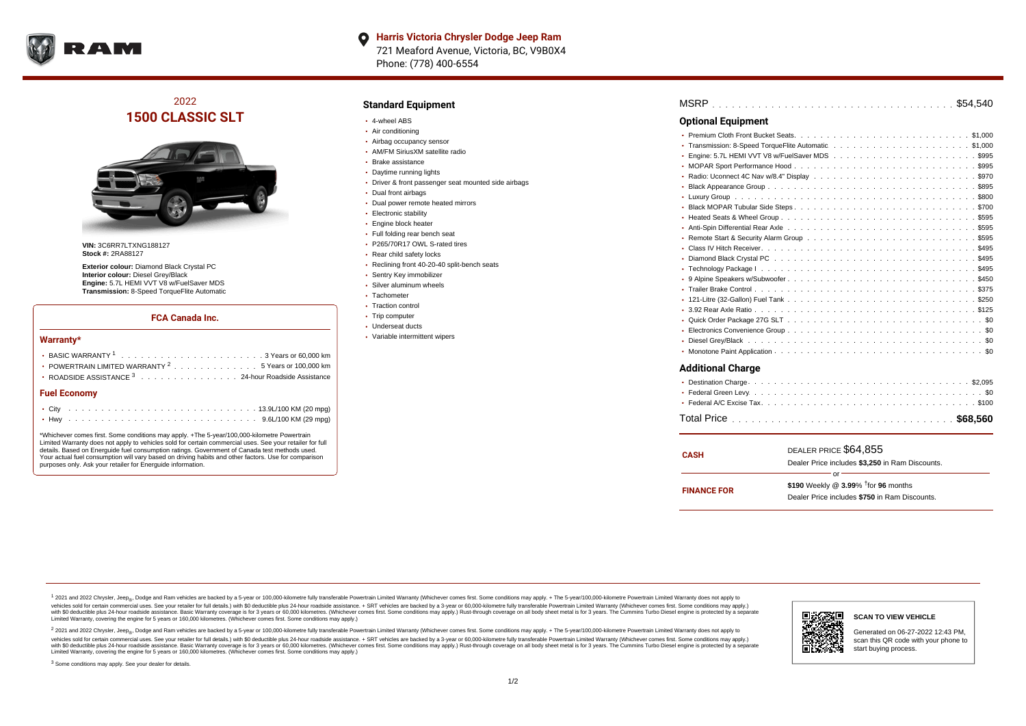

# 2022 **1500 CLASSIC SLT**



**VIN:** 3C6RR7LTXNG188127 **Stock #:** 2RA88127

**Exterior colour:** Diamond Black Crystal PC **Interior colour:** Diesel Grey/Black **Engine:** 5.7L HEMI VVT V8 w/FuelSaver MDS **Transmission:** 8-Speed TorqueFlite Automatic

#### **FCA Canada Inc.**

#### **Warranty\***

| POWERTRAIN LIMITED WARRANTY <sup>2</sup> 5 Years or 100,000 km |  |
|----------------------------------------------------------------|--|
| • ROADSIDE ASSISTANCE 3 24-hour Roadside Assistance            |  |
| <b>Fuel Economy</b>                                            |  |
|                                                                |  |
|                                                                |  |

\*Whichever comes first. Some conditions may apply. +The 5-year/100,000-kilometre Powertrain Limited Warranty does not apply to vehicles sold for certain commercial uses. See your retailer for full details. Based on Energuide fuel consumption ratings. Government of Canada test methods used. Your actual fuel consumption will vary based on driving habits and other factors. Use for comparison purposes only. Ask your retailer for Energuide information.

### **Standard Equipment**

- 4-wheel ABS
- Air conditioning
- Airbag occupancy sensor
- AM/FM SiriusXM satellite radio
- Brake assistance
- Daytime running lights
- Driver & front passenger seat mounted side airbags
- Dual front airbags
- Dual power remote heated mirrors
- **Electronic stability**
- **Engine block heater**
- Full folding rear bench seat
- P265/70R17 OWL S-rated tires
- Rear child safety locks
- Reclining front 40-20-40 split-bench seats
- Sentry Key immobilizer
- Silver aluminum wheels
	- Tachometer
- Traction control
- Trip computer
- Underseat ducts
- Variable intermittent wipers

| <b>Optional Equipment</b> |
|---------------------------|
|                           |
|                           |
|                           |
|                           |
|                           |
|                           |
|                           |
|                           |
|                           |
|                           |
|                           |
|                           |
|                           |
|                           |
|                           |
|                           |
|                           |
|                           |
|                           |
|                           |
|                           |
|                           |
|                           |

#### **Additional Charge**

| <b>CASH</b>        | DEALER PRICE \$64,855<br>Dealer Price includes \$3,250 in Ram Discounts.                                  |  |  |  |  |  |  |
|--------------------|-----------------------------------------------------------------------------------------------------------|--|--|--|--|--|--|
| <b>FINANCE FOR</b> | ΩF<br>\$190 Weekly @ $3.99\%$ <sup>†</sup> for 96 months<br>Dealer Price includes \$750 in Ram Discounts. |  |  |  |  |  |  |

<sup>1</sup> 2021 and 2022 Chrysler, Jeep<sub>®</sub>, Dodge and Ram vehicles are backed by a 5-year or 100,000-kilometre fully transferable Powertrain Limited Warranty (Whichever comes first. Some conditions may apply. + The 5-year/100,000 vehicles sold for certain commercial uses. See your retailer for full details.) with \$0 deductible plus 24 hour roadside assistance. + SRT vehicles are backed by a 3-year or 60,000-kilometre fully transferable Powertrain L versus and contract the mean of the contract of the contract with a contract with a contract the contract of the contract of the contract the contract of the contract of the contract of the contract of the contract of the Limited Warranty, covering the engine for 5 years or 160,000 kilometres. (Whichever comes first. Some conditions may apply.)

2 2021 and 2022 Chrysler, Jeep<sub>®</sub>, Dodge and Ram vehicles are backed by a 5-year or 100,000-kilometre fully transferable Powertrain Limited Warranty (Whichever comes first. Some conditions may apply. + The 5-year/100,000-k vehicles sold for certain commercial uses. See your retailer for full details.) with SO deductible plus 24-hour roadside assistance. + SRT vehicles are backed by a 3-year or 60.000-kilometre fully transferable Powertrain L with S0 deductible plus 24-hour roadside assistance. Basic Warranty coverage is for 3 years or 60,000 kilometres. (Whichever comes first. Some conditions may apply.) Rust-through coverage on all body sheet metal is for 3 y



#### **SCAN TO VIEW VEHICLE**

Generated on 06-27-2022 12:43 PM, scan this QR code with your phone to start buying process.

<sup>3</sup> Some conditions may apply. See your dealer for details.